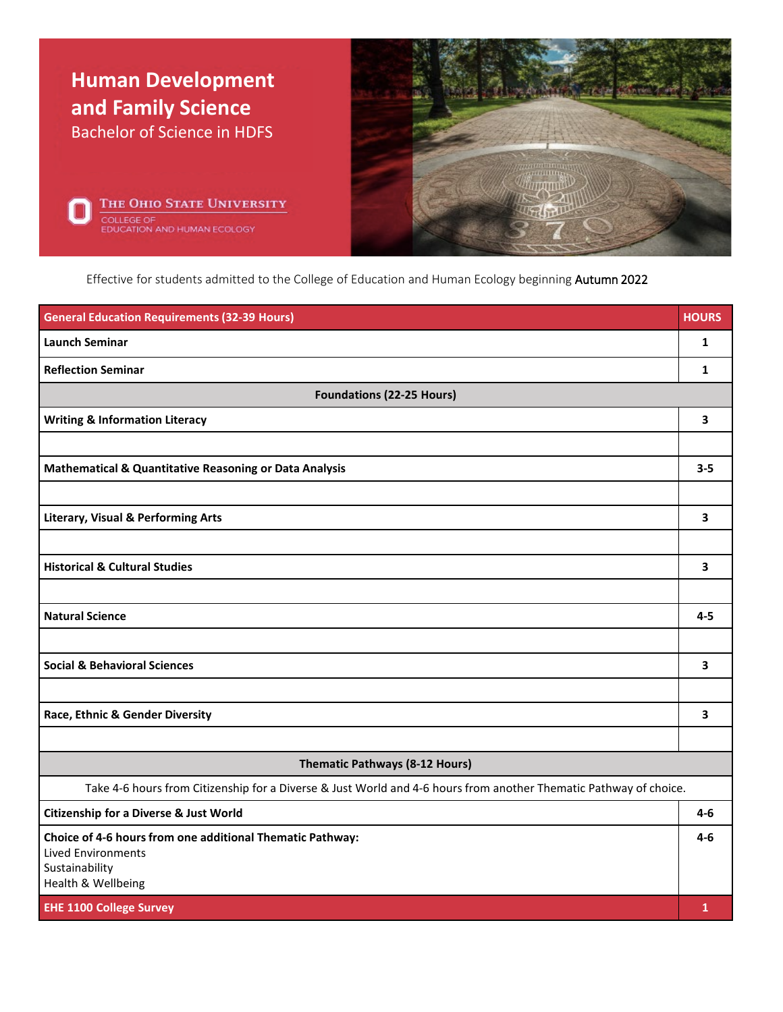

Effective for students admitted to the College of Education and Human Ecology beginning Autumn 2022

| <b>General Education Requirements (32-39 Hours)</b>                                                               | <b>HOURS</b> |  |
|-------------------------------------------------------------------------------------------------------------------|--------------|--|
| <b>Launch Seminar</b>                                                                                             | 1            |  |
| <b>Reflection Seminar</b>                                                                                         | 1            |  |
| <b>Foundations (22-25 Hours)</b>                                                                                  |              |  |
| <b>Writing &amp; Information Literacy</b>                                                                         | 3            |  |
|                                                                                                                   |              |  |
| <b>Mathematical &amp; Quantitative Reasoning or Data Analysis</b>                                                 | $3 - 5$      |  |
|                                                                                                                   |              |  |
| <b>Literary, Visual &amp; Performing Arts</b>                                                                     | 3            |  |
|                                                                                                                   |              |  |
| <b>Historical &amp; Cultural Studies</b>                                                                          | 3            |  |
|                                                                                                                   |              |  |
| <b>Natural Science</b>                                                                                            | $4 - 5$      |  |
|                                                                                                                   |              |  |
| <b>Social &amp; Behavioral Sciences</b>                                                                           | 3            |  |
|                                                                                                                   |              |  |
| Race, Ethnic & Gender Diversity                                                                                   | 3            |  |
|                                                                                                                   |              |  |
| Thematic Pathways (8-12 Hours)                                                                                    |              |  |
| Take 4-6 hours from Citizenship for a Diverse & Just World and 4-6 hours from another Thematic Pathway of choice. |              |  |
| <b>Citizenship for a Diverse &amp; Just World</b>                                                                 | $4-6$        |  |
| Choice of 4-6 hours from one additional Thematic Pathway:                                                         | $4 - 6$      |  |
| <b>Lived Environments</b><br>Sustainability                                                                       |              |  |
| Health & Wellbeing                                                                                                |              |  |
| <b>EHE 1100 College Survey</b>                                                                                    | 1            |  |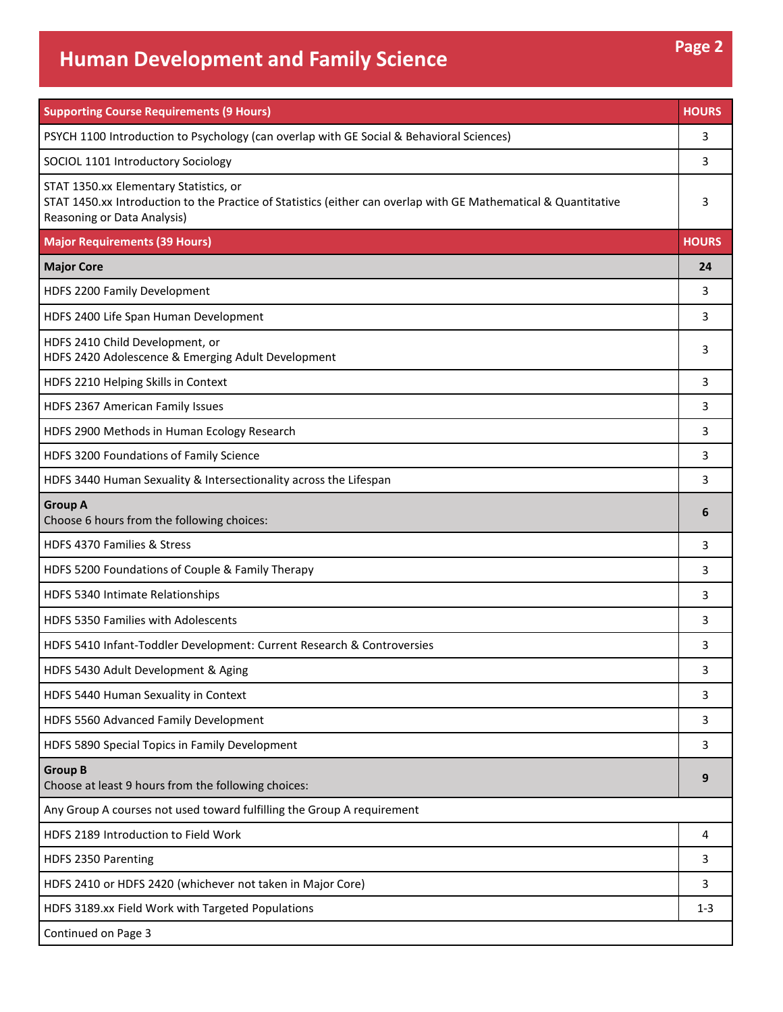## **Human Development and Family Science Page 2**

**Supporting Course Requirements (9 Hours) HOURS** PSYCH 1100 Introduction to Psychology (can overlap with GE Social & Behavioral Sciences) 3 SOCIOL 1101 Introductory Sociology 3 STAT 1350.xx Elementary Statistics, or STAT 1450.xx Introduction to the Practice of Statistics (either can overlap with GE Mathematical & Quantitative Reasoning or Data Analysis) 3 **Major Requirements (39 Hours) HOURS Major Core 24** HDFS 2200 Family Development 3 HDFS 2400 Life Span Human Development 3 and 3 and 3 and 3 and 3 and 3 and 3 and 3 and 3 and 3 and 3 and 3 and 3 and 3 and 3 and 3 and 3 and 3 and 3 and 3 and 3 and 3 and 3 and 3 and 3 and 3 and 3 and 3 and 3 and 3 and 3 an HDFS 2410 Child Development, or HDFS 2410 Child Development, or<br>HDFS 2420 Adolescence & Emerging Adult Development 3 HDFS 2210 Helping Skills in Context 3 and 2012 12:00 Section 1:00 Section 1:00 Section 1:00 Section 1:00 Section 1:00 Section 1:00 Section 1:00 Section 1:00 Section 1:00 Section 1:00 Section 1:00 Section 1:00 Section 1:00 HDFS 2367 American Family Issues 3 HDFS 2900 Methods in Human Ecology Research 3 HDFS 3200 Foundations of Family Science 3 HDFS 3440 Human Sexuality & Intersectionality across the Lifespan 3 **Group A** Choose 6 hours from the following choices: **<sup>6</sup>** HDFS 4370 Families & Stress 3 HDFS 5200 Foundations of Couple & Family Therapy 3 HDFS 5340 Intimate Relationships 3 and 200 million control of the state of the state of the state of the state of the state of the state of the state of the state of the state of the state of the state of the state of the HDFS 5350 Families with Adolescents 3 HDFS 5410 Infant-Toddler Development: Current Research & Controversies 3 HDFS 5430 Adult Development & Aging 3 and 3 and 3 and 3 and 3 and 3 and 3 and 3 and 3 and 3 and 3 and 3 and 3 and 3 and 3 and 3 and 3 and 3 and 3 and 3 and 3 and 3 and 3 and 3 and 3 and 3 and 3 and 3 and 3 and 3 and 3 and HDFS 5440 Human Sexuality in Context 3 HDFS 5560 Advanced Family Development 3 and 3 and 3 and 3 and 3 and 3 and 3 and 3 and 3 and 3 and 3 and 3 and 3 and 3 and 3 and 3 and 3 and 3 and 3 and 3 and 3 and 3 and 3 and 3 and 3 and 3 and 3 and 3 and 3 and 3 and 3 an HDFS 5890 Special Topics in Family Development 3 **Group B** Choose at least 9 hours from the following choices: **<sup>9</sup>** Any Group A courses not used toward fulfilling the Group A requirement HDFS 2189 Introduction to Field Work 4 HDFS 2350 Parenting 3 HDFS 2410 or HDFS 2420 (whichever not taken in Major Core) 3 HDFS 3189.xx Field Work with Targeted Populations 1-3 Continued on Page 3